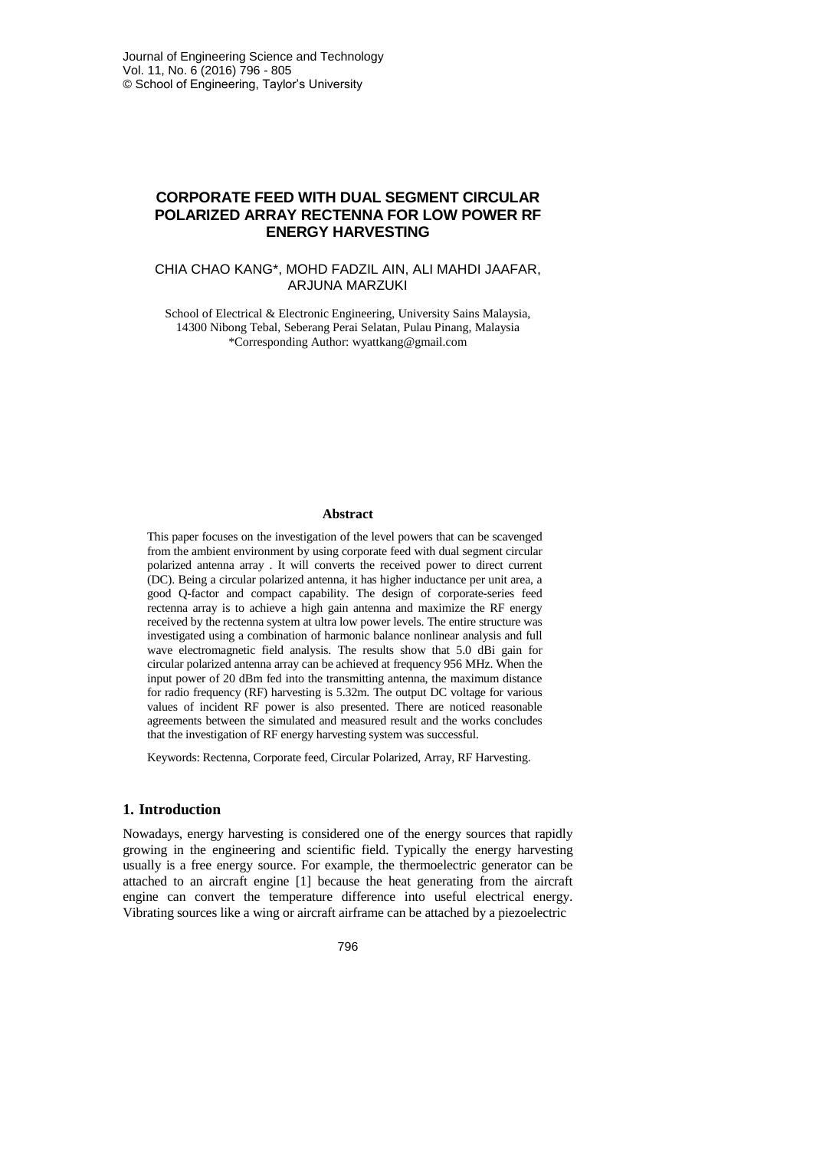# **CORPORATE FEED WITH DUAL SEGMENT CIRCULAR POLARIZED ARRAY RECTENNA FOR LOW POWER RF ENERGY HARVESTING**

### CHIA CHAO KANG\*, MOHD FADZIL AIN, ALI MAHDI JAAFAR, ARJUNA MARZUKI

School of Electrical & Electronic Engineering, University Sains Malaysia, 14300 Nibong Tebal, Seberang Perai Selatan, Pulau Pinang, Malaysia \*Corresponding Author: wyattkang@gmail.com

#### **Abstract**

This paper focuses on the investigation of the level powers that can be scavenged from the ambient environment by using corporate feed with dual segment circular polarized antenna array . It will converts the received power to direct current (DC). Being a circular polarized antenna, it has higher inductance per unit area, a good Q-factor and compact capability. The design of corporate-series feed rectenna array is to achieve a high gain antenna and maximize the RF energy received by the rectenna system at ultra low power levels. The entire structure was investigated using a combination of harmonic balance nonlinear analysis and full wave electromagnetic field analysis. The results show that 5.0 dBi gain for circular polarized antenna array can be achieved at frequency 956 MHz. When the input power of 20 dBm fed into the transmitting antenna, the maximum distance for radio frequency (RF) harvesting is 5.32m. The output DC voltage for various values of incident RF power is also presented. There are noticed reasonable agreements between the simulated and measured result and the works concludes that the investigation of RF energy harvesting system was successful.

Keywords: Rectenna, Corporate feed, Circular Polarized, Array, RF Harvesting.

#### **1. Introduction**

Nowadays, energy harvesting is considered one of the energy sources that rapidly growing in the engineering and scientific field. Typically the energy harvesting usually is a free energy source. For example, the thermoelectric generator can be attached to an aircraft engine [1] because the heat generating from the aircraft engine can convert the temperature difference into useful electrical energy. Vibrating sources like a wing or aircraft airframe can be attached by a piezoelectric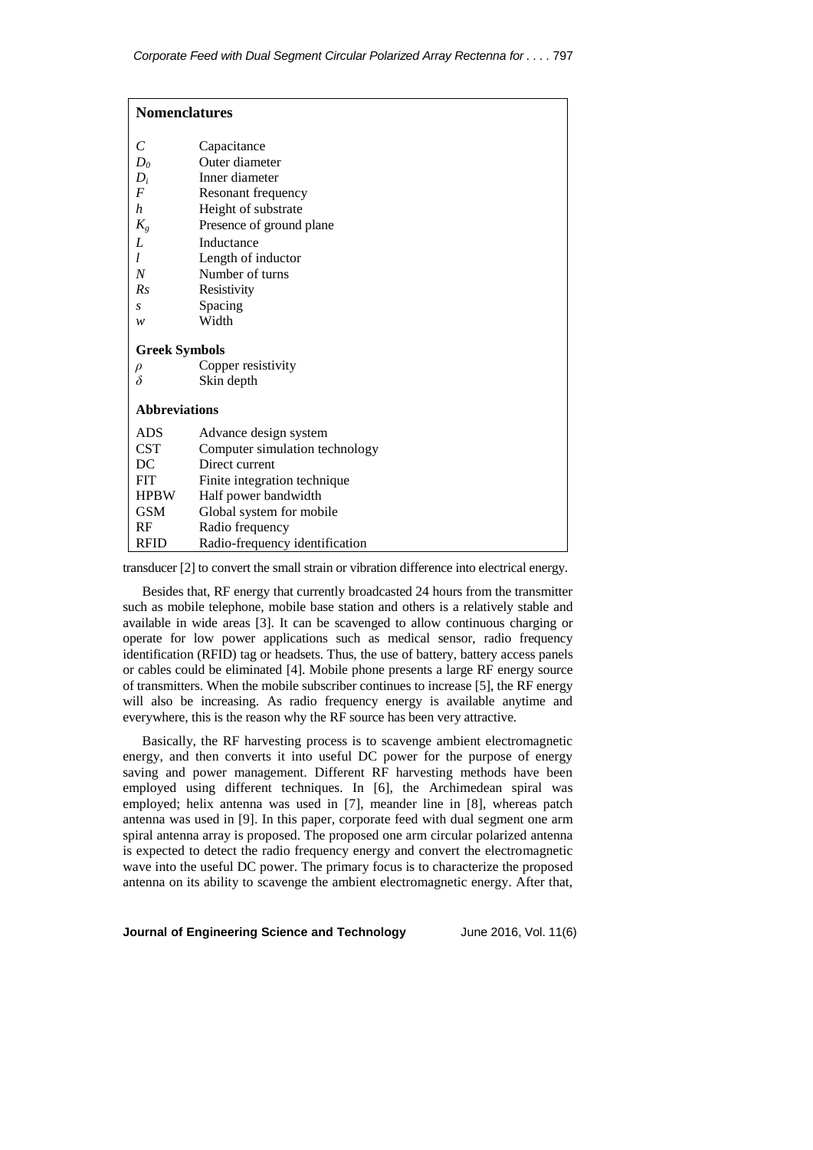| <b>Nomenclatures</b> |                                |
|----------------------|--------------------------------|
| C                    | Capacitance                    |
| $D_0$                | Outer diameter                 |
| $D_i$                | Inner diameter                 |
| $\overline{F}$       | Resonant frequency             |
| h                    | Height of substrate            |
| $K_g$                | Presence of ground plane       |
| L                    | Inductance                     |
| l                    | Length of inductor             |
| N                    | Number of turns                |
| Rs                   | Resistivity                    |
| S                    | Spacing                        |
| w                    | Width                          |
| <b>Greek Symbols</b> |                                |
| $\rho$               | Copper resistivity             |
| $\delta$             | Skin depth                     |
| <b>Abbreviations</b> |                                |
| ADS                  | Advance design system          |
| <b>CST</b>           | Computer simulation technology |
| DC                   | Direct current                 |
| <b>FIT</b>           | Finite integration technique   |
| <b>HPBW</b>          | Half power bandwidth           |
| <b>GSM</b>           | Global system for mobile       |
| RF                   | Radio frequency                |
| <b>RFID</b>          | Radio-frequency identification |

transducer [2] to convert the small strain or vibration difference into electrical energy.

Besides that, RF energy that currently broadcasted 24 hours from the transmitter such as mobile telephone, mobile base station and others is a relatively stable and available in wide areas [3]. It can be scavenged to allow continuous charging or operate for low power applications such as medical sensor, radio frequency identification (RFID) tag or headsets. Thus, the use of battery, battery access panels or cables could be eliminated [4]. Mobile phone presents a large RF energy source of transmitters. When the mobile subscriber continues to increase [5], the RF energy will also be increasing. As radio frequency energy is available anytime and everywhere, this is the reason why the RF source has been very attractive.

Basically, the RF harvesting process is to scavenge ambient electromagnetic energy, and then converts it into useful DC power for the purpose of energy saving and power management. Different RF harvesting methods have been employed using different techniques. In [6], the Archimedean spiral was employed; helix antenna was used in [7], meander line in [8], whereas patch antenna was used in [9]. In this paper, corporate feed with dual segment one arm spiral antenna array is proposed. The proposed one arm circular polarized antenna is expected to detect the radio frequency energy and convert the electromagnetic wave into the useful DC power. The primary focus is to characterize the proposed antenna on its ability to scavenge the ambient electromagnetic energy. After that,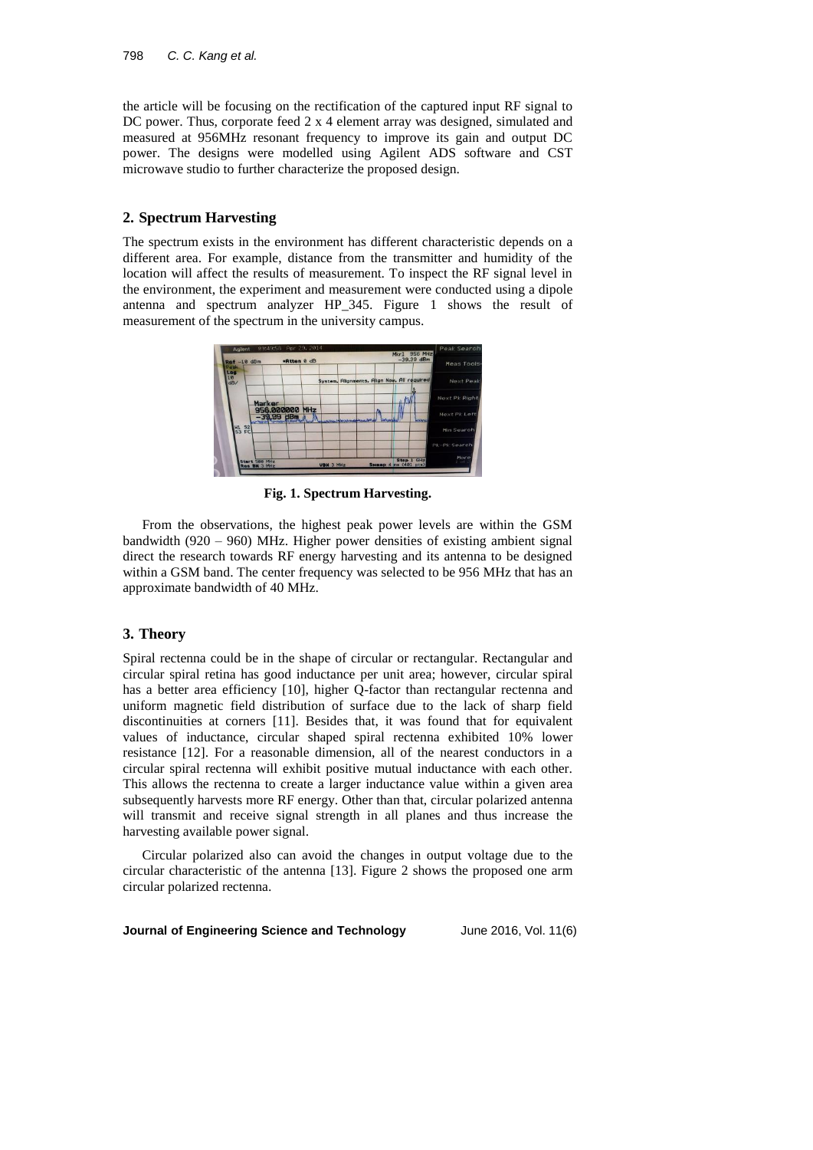the article will be focusing on the rectification of the captured input RF signal to DC power. Thus, corporate feed 2 x 4 element array was designed, simulated and measured at 956MHz resonant frequency to improve its gain and output DC power. The designs were modelled using Agilent ADS software and CST microwave studio to further characterize the proposed design.

## **2. Spectrum Harvesting**

The spectrum exists in the environment has different characteristic depends on a different area. For example, distance from the transmitter and humidity of the location will affect the results of measurement. To inspect the RF signal level in the environment, the experiment and measurement were conducted using a dipole antenna and spectrum analyzer HP\_345. Figure 1 shows the result of measurement of the spectrum in the university campus.

| Meas Tools         | $-39.99$ dBm                                |                                        |                                      |           | .Atten 0 dB                    |                               | <b>Ref</b> -10 dBm<br>Peak |
|--------------------|---------------------------------------------|----------------------------------------|--------------------------------------|-----------|--------------------------------|-------------------------------|----------------------------|
| Next Peak          | System, Alignments, Align Now, All required |                                        |                                      |           |                                |                               | Los<br>$\frac{18}{dB}$     |
| Next Pk Right      |                                             |                                        |                                      |           |                                | Marker                        |                            |
| Next Pk Left       | <b>UNIVER</b>                               |                                        | Change to the cultural demonstration |           | 956,000000 MHz<br>$-39.99$ dBm |                               |                            |
| Min Search         |                                             |                                        |                                      |           |                                |                               | <b>M1 S2</b><br>S3 FC      |
| Pk-Pk Search       |                                             |                                        |                                      |           |                                |                               |                            |
| More<br>$1$ of $2$ | Stap 1 GHz                                  | Sweep $4 \text{ ms} (481 \text{ pts})$ |                                      | VBW 3 MHz |                                | Start 500 MHz<br>Ros BM 3 MHz |                            |

**Fig. 1. Spectrum Harvesting.**

From the observations, the highest peak power levels are within the GSM bandwidth (920 – 960) MHz. Higher power densities of existing ambient signal direct the research towards RF energy harvesting and its antenna to be designed within a GSM band. The center frequency was selected to be 956 MHz that has an approximate bandwidth of 40 MHz.

## **3. Theory**

Spiral rectenna could be in the shape of circular or rectangular. Rectangular and circular spiral retina has good inductance per unit area; however, circular spiral has a better area efficiency [10], higher Q-factor than rectangular rectenna and uniform magnetic field distribution of surface due to the lack of sharp field discontinuities at corners [11]. Besides that, it was found that for equivalent values of inductance, circular shaped spiral rectenna exhibited 10% lower resistance [12]. For a reasonable dimension, all of the nearest conductors in a circular spiral rectenna will exhibit positive mutual inductance with each other. This allows the rectenna to create a larger inductance value within a given area subsequently harvests more RF energy. Other than that, circular polarized antenna will transmit and receive signal strength in all planes and thus increase the harvesting available power signal.

Circular polarized also can avoid the changes in output voltage due to the circular characteristic of the antenna [13]. Figure 2 shows the proposed one arm circular polarized rectenna.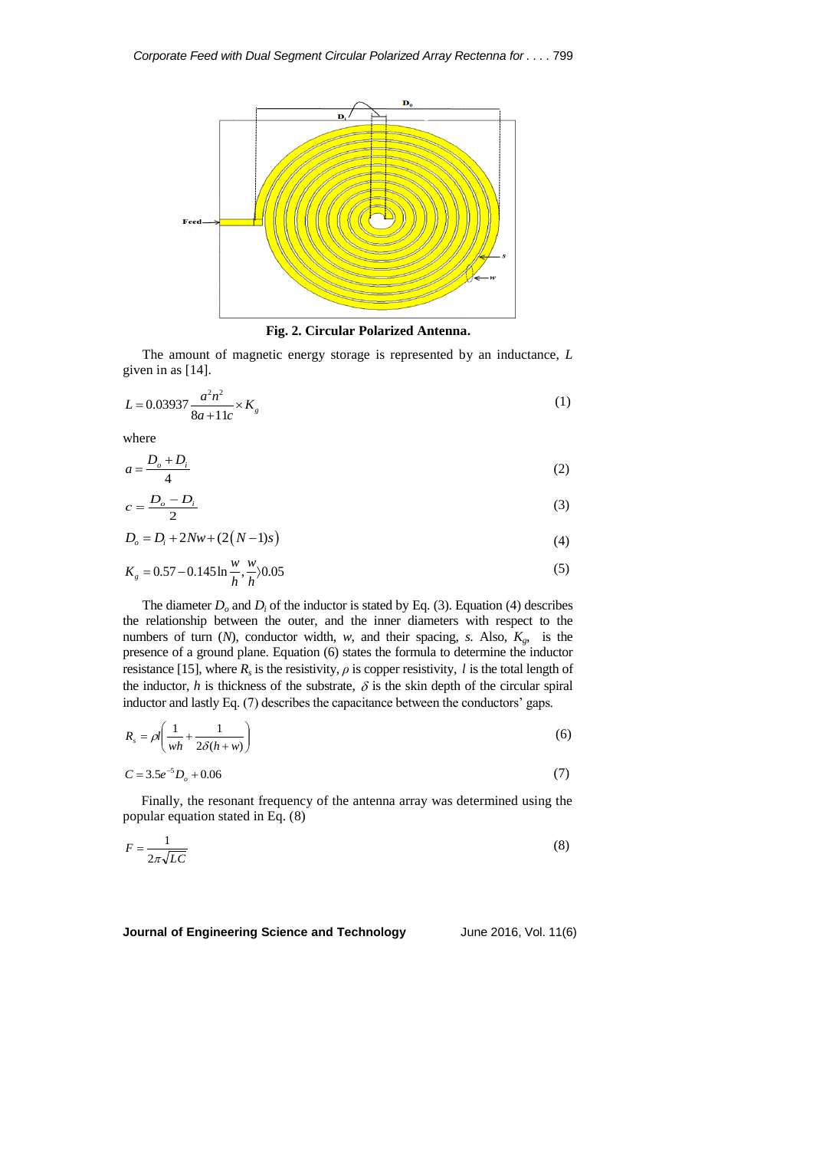

 **Fig. 2. Circular Polarized Antenna.**

The amount of magnetic energy storage is represented by an inductance, *L* given in as [14].

$$
L = 0.03937 \frac{a^2 n^2}{8a + 11c} \times K_g
$$
 (1)

where

$$
a = \frac{D_o + D_i}{4} \tag{2}
$$

$$
c = \frac{D_o - D_i}{2} \tag{3}
$$

$$
D_o = D_i + 2Nw + (2(N-1)s)
$$
\n(4)

$$
K_g = 0.57 - 0.145 \ln \frac{w}{h}, \frac{w}{h} \rangle 0.05
$$
 (5)

The diameter  $D_0$  and  $D_i$  of the inductor is stated by Eq. (3). Equation (4) describes the relationship between the outer, and the inner diameters with respect to the numbers of turn (*N*), conductor width, *w*, and their spacing, *s*. Also, *Kg*, is the presence of a ground plane. Equation (6) states the formula to determine the inductor resistance [15], where  $R_s$  is the resistivity,  $\rho$  is copper resistivity,  $l$  is the total length of the inductor,  $h$  is thickness of the substrate,  $\delta$  is the skin depth of the circular spiral inductor and lastly Eq. (7) describes the capacitance between the conductors' gaps.

$$
R_s = \rho l \left( \frac{1}{wh} + \frac{1}{2\delta(h+w)} \right) \tag{6}
$$

$$
C = 3.5e^{-5}D_o + 0.06\tag{7}
$$

Finally, the resonant frequency of the antenna array was determined using the popular equation stated in Eq. (8)

$$
F = \frac{1}{2\pi\sqrt{LC}}\tag{8}
$$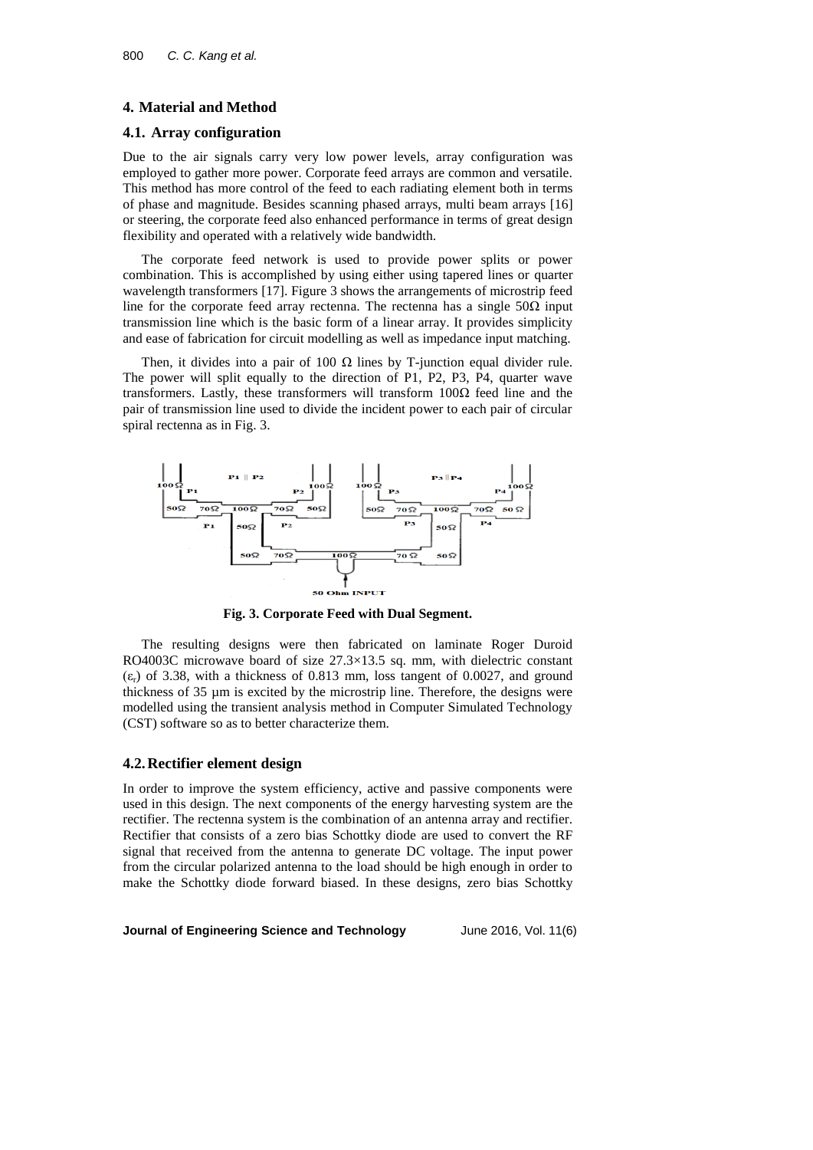#### **4. Material and Method**

## **4.1. Array configuration**

Due to the air signals carry very low power levels, array configuration was employed to gather more power. Corporate feed arrays are common and versatile. This method has more control of the feed to each radiating element both in terms of phase and magnitude. Besides scanning phased arrays, multi beam arrays [16] or steering, the corporate feed also enhanced performance in terms of great design flexibility and operated with a relatively wide bandwidth.

The corporate feed network is used to provide power splits or power combination. This is accomplished by using either using tapered lines or quarter wavelength transformers [17]. Figure 3 shows the arrangements of microstrip feed line for the corporate feed array rectenna. The rectenna has a single  $50\Omega$  input transmission line which is the basic form of a linear array. It provides simplicity and ease of fabrication for circuit modelling as well as impedance input matching.

Then, it divides into a pair of 100  $\Omega$  lines by T-junction equal divider rule. The power will split equally to the direction of P1, P2, P3, P4, quarter wave transformers. Lastly, these transformers will transform 100Ω feed line and the pair of transmission line used to divide the incident power to each pair of circular spiral rectenna as in Fig. 3.



**Fig. 3. Corporate Feed with Dual Segment.**

The resulting designs were then fabricated on laminate Roger Duroid RO4003C microwave board of size 27.3×13.5 sq. mm, with dielectric constant  $(\varepsilon_r)$  of 3.38, with a thickness of 0.813 mm, loss tangent of 0.0027, and ground thickness of 35 µm is excited by the microstrip line. Therefore, the designs were modelled using the transient analysis method in Computer Simulated Technology (CST) software so as to better characterize them.

#### **4.2.Rectifier element design**

In order to improve the system efficiency, active and passive components were used in this design. The next components of the energy harvesting system are the rectifier. The rectenna system is the combination of an antenna array and rectifier. Rectifier that consists of a zero bias Schottky diode are used to convert the RF signal that received from the antenna to generate DC voltage. The input power from the circular polarized antenna to the load should be high enough in order to make the Schottky diode forward biased. In these designs, zero bias Schottky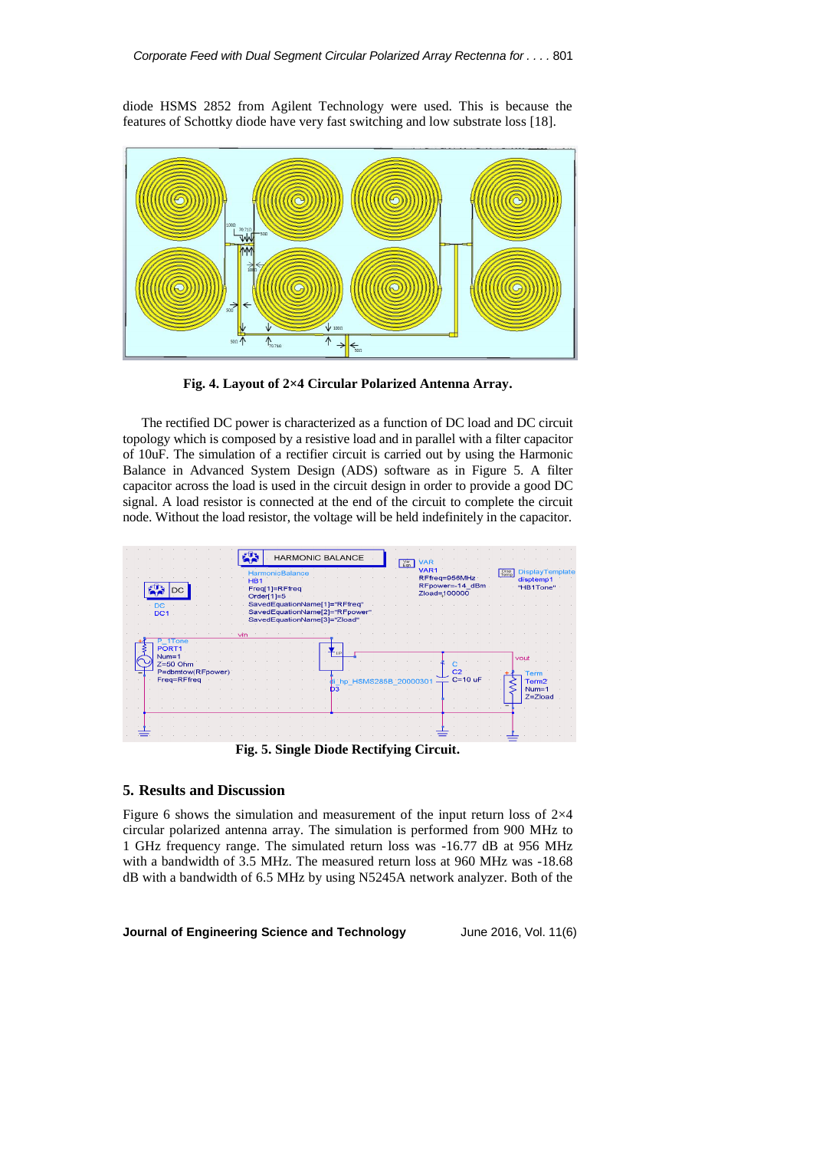diode HSMS 2852 from Agilent Technology were used. This is because the features of Schottky diode have very fast switching and low substrate loss [18].



**Fig. 4. Layout of 2×4 Circular Polarized Antenna Array.**

The rectified DC power is characterized as a function of DC load and DC circuit topology which is composed by a resistive load and in parallel with a filter capacitor of 10uF. The simulation of a rectifier circuit is carried out by using the Harmonic Balance in Advanced System Design (ADS) software as in Figure 5. A filter capacitor across the load is used in the circuit design in order to provide a good DC signal. A load resistor is connected at the end of the circuit to complete the circuit node. Without the load resistor, the voltage will be held indefinitely in the capacitor.



**Fig. 5. Single Diode Rectifying Circuit.**

### **5. Results and Discussion**

Figure 6 shows the simulation and measurement of the input return loss of 2×4 circular polarized antenna array. The simulation is performed from 900 MHz to 1 GHz frequency range. The simulated return loss was -16.77 dB at 956 MHz with a bandwidth of 3.5 MHz. The measured return loss at 960 MHz was -18.68 dB with a bandwidth of 6.5 MHz by using N5245A network analyzer. Both of the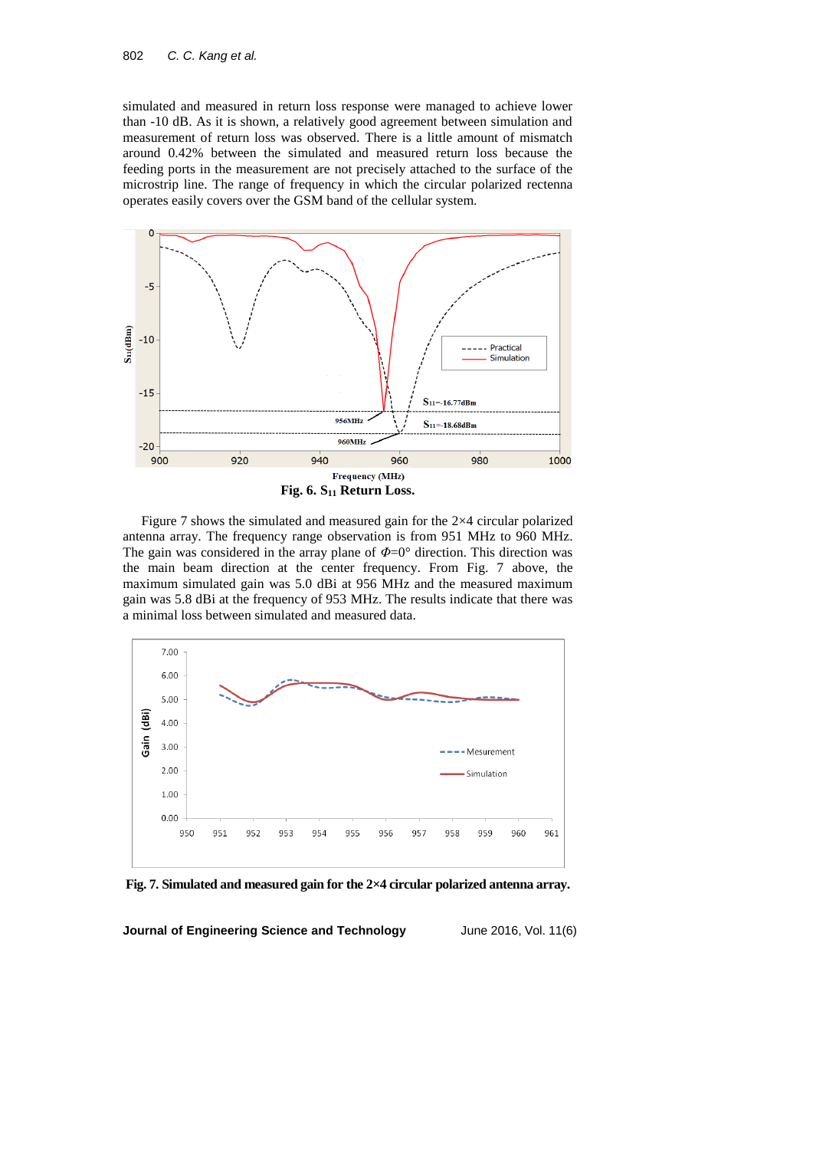simulated and measured in return loss response were managed to achieve lower than -10 dB. As it is shown, a relatively good agreement between simulation and measurement of return loss was observed. There is a little amount of mismatch around 0.42% between the simulated and measured return loss because the feeding ports in the measurement are not precisely attached to the surface of the microstrip line. The range of frequency in which the circular polarized rectenna operates easily covers over the GSM band of the cellular system.



Figure 7 shows the simulated and measured gain for the 2×4 circular polarized antenna array. The frequency range observation is from 951 MHz to 960 MHz. The gain was considered in the array plane of *Φ*=0° direction. This direction was the main beam direction at the center frequency. From Fig. 7 above, the maximum simulated gain was 5.0 dBi at 956 MHz and the measured maximum gain was 5.8 dBi at the frequency of 953 MHz. The results indicate that there was a minimal loss between simulated and measured data.



**Fig. 7. Simulated and measured gain for the 2×4 circular polarized antenna array.**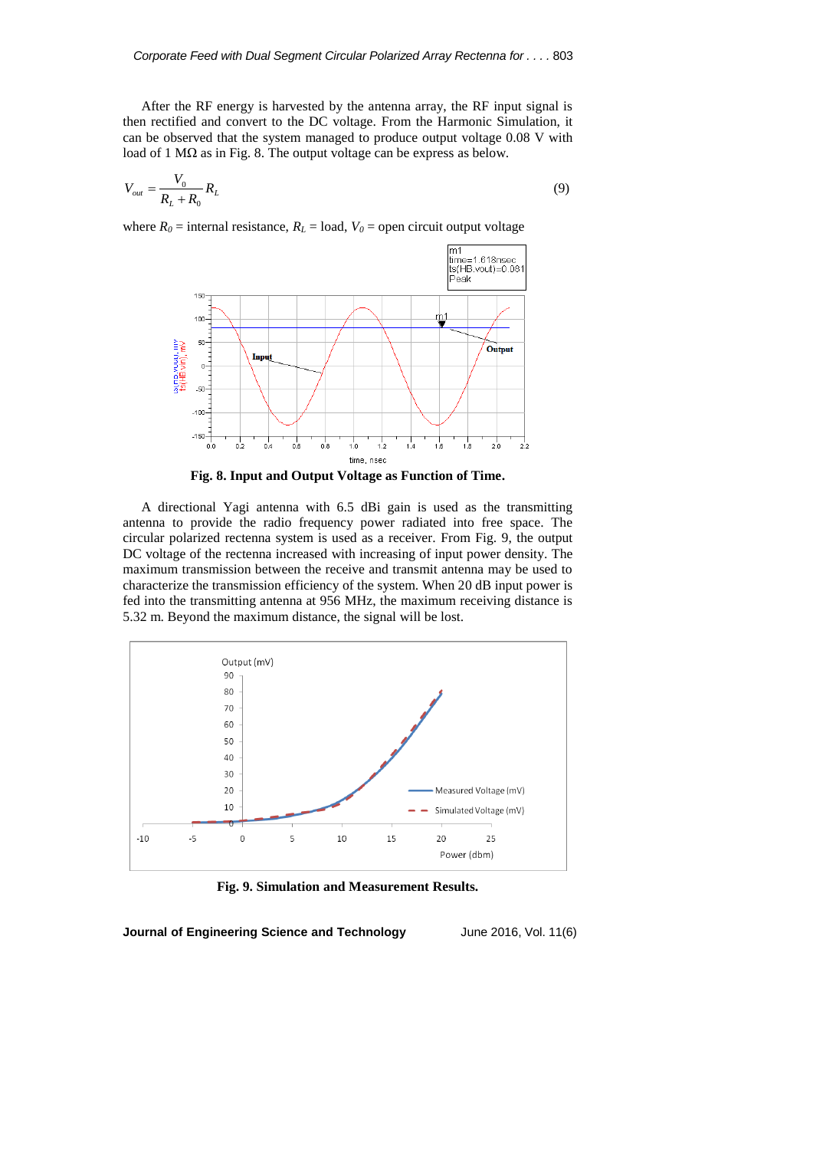After the RF energy is harvested by the antenna array, the RF input signal is then rectified and convert to the DC voltage. From the Harmonic Simulation, it can be observed that the system managed to produce output voltage 0.08 V with load of 1 MΩ as in Fig. 8. The output voltage can be express as below.

$$
V_{out} = \frac{V_0}{R_L + R_0} R_L \tag{9}
$$

where  $R_0$  = internal resistance,  $R_L$  = load,  $V_0$  = open circuit output voltage



**Fig. 8. Input and Output Voltage as Function of Time.**

A directional Yagi antenna with 6.5 dBi gain is used as the transmitting antenna to provide the radio frequency power radiated into free space. The circular polarized rectenna system is used as a receiver. From Fig. 9, the output DC voltage of the rectenna increased with increasing of input power density. The maximum transmission between the receive and transmit antenna may be used to characterize the transmission efficiency of the system. When 20 dB input power is fed into the transmitting antenna at 956 MHz, the maximum receiving distance is 5.32 m. Beyond the maximum distance, the signal will be lost.



**Fig. 9. Simulation and Measurement Results.**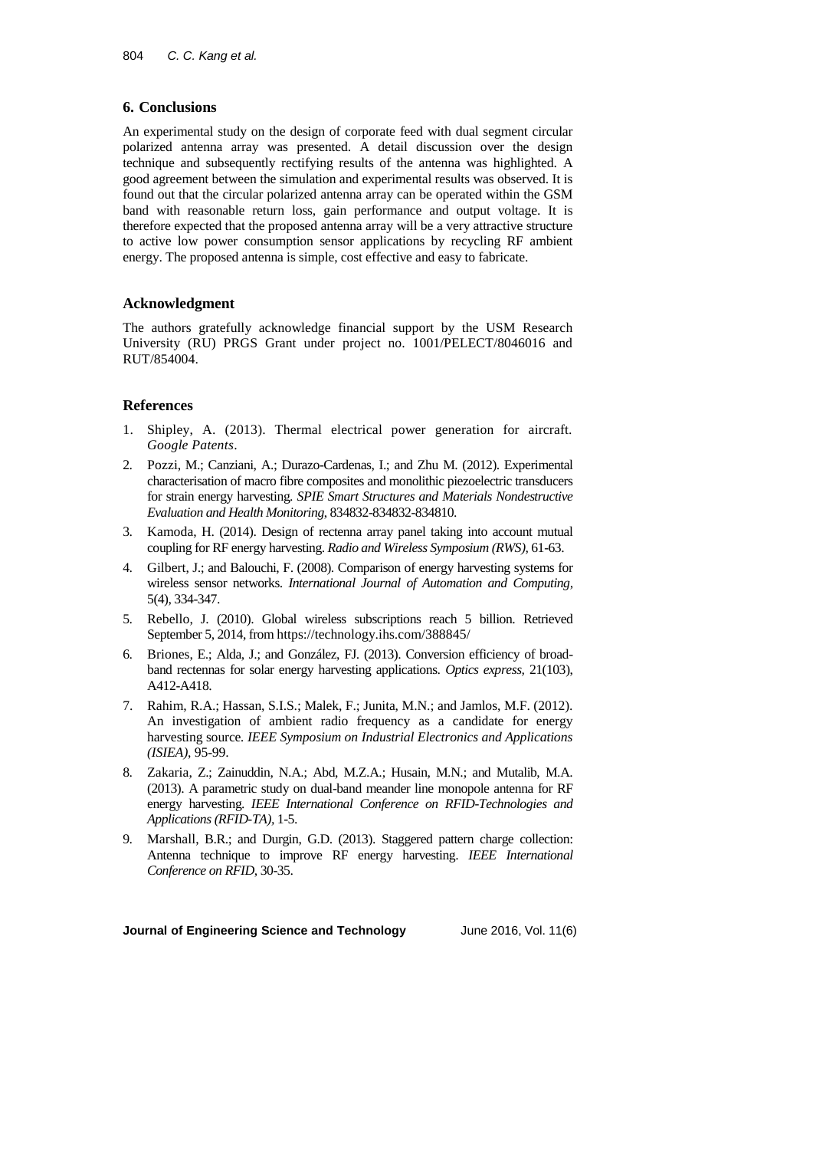## **6. Conclusions**

An experimental study on the design of corporate feed with dual segment circular polarized antenna array was presented. A detail discussion over the design technique and subsequently rectifying results of the antenna was highlighted. A good agreement between the simulation and experimental results was observed. It is found out that the circular polarized antenna array can be operated within the GSM band with reasonable return loss, gain performance and output voltage. It is therefore expected that the proposed antenna array will be a very attractive structure to active low power consumption sensor applications by recycling RF ambient energy. The proposed antenna is simple, cost effective and easy to fabricate.

# **Acknowledgment**

The authors gratefully acknowledge financial support by the USM Research University (RU) PRGS Grant under project no. 1001/PELECT/8046016 and RUT/854004.

# **References**

- 1. Shipley, A. (2013). Thermal electrical power generation for aircraft. *Google Patents*.
- 2. Pozzi, M.; Canziani, A.; Durazo-Cardenas, I.; and Zhu M. (2012). Experimental characterisation of macro fibre composites and monolithic piezoelectric transducers for strain energy harvesting. *SPIE Smart Structures and Materials Nondestructive Evaluation and Health Monitoring*, 834832-834832-834810.
- 3. Kamoda, H. (2014). Design of rectenna array panel taking into account mutual coupling for RF energy harvesting. *Radio and Wireless Symposium (RWS),* 61-63.
- 4. Gilbert, J.; and Balouchi, F. (2008). Comparison of energy harvesting systems for wireless sensor networks. *International Journal of Automation and Computing,*  5(4), 334-347.
- 5. Rebello, J. (2010). Global wireless subscriptions reach 5 billion. Retrieved September 5, 2014, from https://technology.ihs.com/388845/
- 6. Briones, E.; Alda, J.; and González, FJ. (2013). Conversion efficiency of broadband rectennas for solar energy harvesting applications. *Optics express,* 21(103), A412-A418.
- 7. Rahim, R.A.; Hassan, S.I.S.; Malek, F.; Junita, M.N.; and Jamlos, M.F. (2012). An investigation of ambient radio frequency as a candidate for energy harvesting source*. IEEE Symposium on Industrial Electronics and Applications (ISIEA)*, 95-99.
- 8. Zakaria, Z.; Zainuddin, N.A.; Abd, M.Z.A.; Husain, M.N.; and Mutalib, M.A. (2013). A parametric study on dual-band meander line monopole antenna for RF energy harvesting. *IEEE International Conference on RFID-Technologies and Applications (RFID-TA),* 1-5.
- 9. Marshall, B.R.; and Durgin, G.D. (2013). Staggered pattern charge collection: Antenna technique to improve RF energy harvesting. *IEEE International Conference on RFID*, 30-35.